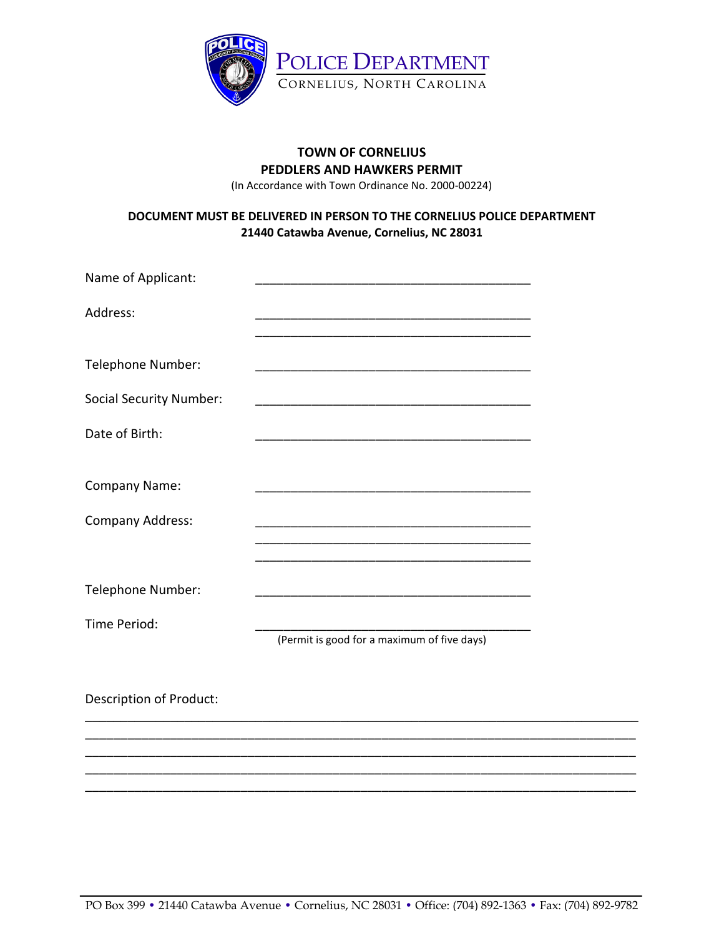

## **TOWN OF CORNELIUS PEDDLERS AND HAWKERS PERMIT** (In Accordance with Town Ordinance No. 2000-00224)

## **DOCUMENT MUST BE DELIVERED IN PERSON TO THE CORNELIUS POLICE DEPARTMENT 21440 Catawba Avenue, Cornelius, NC 28031**

| Name of Applicant:             |                                                                                                                       |  |
|--------------------------------|-----------------------------------------------------------------------------------------------------------------------|--|
| Address:                       |                                                                                                                       |  |
| Telephone Number:              |                                                                                                                       |  |
| <b>Social Security Number:</b> | <u> 1989 - Johann John Stone, mars and de film and de film and de film and de film and de film and de film and de</u> |  |
| Date of Birth:                 |                                                                                                                       |  |
| Company Name:                  |                                                                                                                       |  |
| Company Address:               | <u> 1980 - Johann Barn, mars ann an t-Amhain Aonaich an t-Aonaich an t-Aonaich ann an t-Aonaich ann an t-Aonaich</u>  |  |
|                                |                                                                                                                       |  |
| Telephone Number:              |                                                                                                                       |  |
| Time Period:                   | (Permit is good for a maximum of five days)                                                                           |  |
| Description of Product:        |                                                                                                                       |  |

\_\_\_\_\_\_\_\_\_\_\_\_\_\_\_\_\_\_\_\_\_\_\_\_\_\_\_\_\_\_\_\_\_\_\_\_\_\_\_\_\_\_\_\_\_\_\_\_\_\_\_\_\_\_\_\_\_\_\_\_\_\_\_\_\_\_\_\_\_\_\_\_\_\_\_\_\_\_ \_\_\_\_\_\_\_\_\_\_\_\_\_\_\_\_\_\_\_\_\_\_\_\_\_\_\_\_\_\_\_\_\_\_\_\_\_\_\_\_\_\_\_\_\_\_\_\_\_\_\_\_\_\_\_\_\_\_\_\_\_\_\_\_\_\_\_\_\_\_\_\_\_\_\_\_\_\_ \_\_\_\_\_\_\_\_\_\_\_\_\_\_\_\_\_\_\_\_\_\_\_\_\_\_\_\_\_\_\_\_\_\_\_\_\_\_\_\_\_\_\_\_\_\_\_\_\_\_\_\_\_\_\_\_\_\_\_\_\_\_\_\_\_\_\_\_\_\_\_\_\_\_\_\_\_\_ \_\_\_\_\_\_\_\_\_\_\_\_\_\_\_\_\_\_\_\_\_\_\_\_\_\_\_\_\_\_\_\_\_\_\_\_\_\_\_\_\_\_\_\_\_\_\_\_\_\_\_\_\_\_\_\_\_\_\_\_\_\_\_\_\_\_\_\_\_\_\_\_\_\_\_\_\_\_